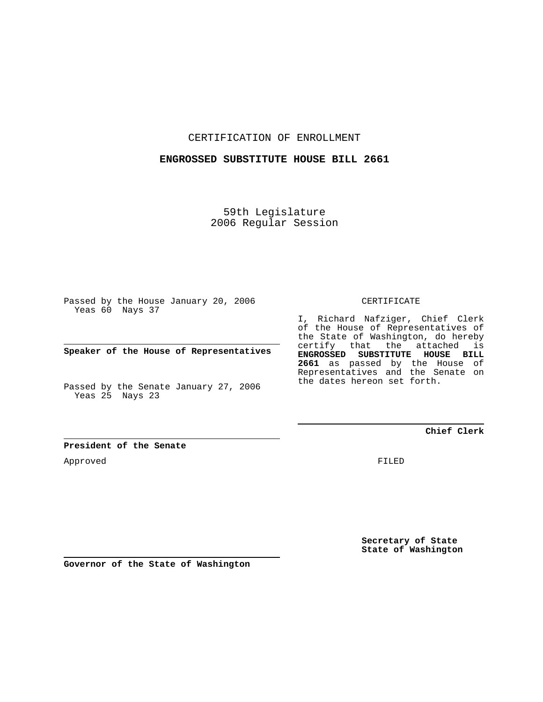CERTIFICATION OF ENROLLMENT

## **ENGROSSED SUBSTITUTE HOUSE BILL 2661**

59th Legislature 2006 Regular Session

Passed by the House January 20, 2006 Yeas 60 Nays 37

**Speaker of the House of Representatives**

Passed by the Senate January 27, 2006 Yeas 25 Nays 23

CERTIFICATE

I, Richard Nafziger, Chief Clerk of the House of Representatives of the State of Washington, do hereby certify that the attached is **ENGROSSED SUBSTITUTE HOUSE BILL 2661** as passed by the House of Representatives and the Senate on the dates hereon set forth.

### **Chief Clerk**

**President of the Senate**

Approved

FILED

**Secretary of State State of Washington**

**Governor of the State of Washington**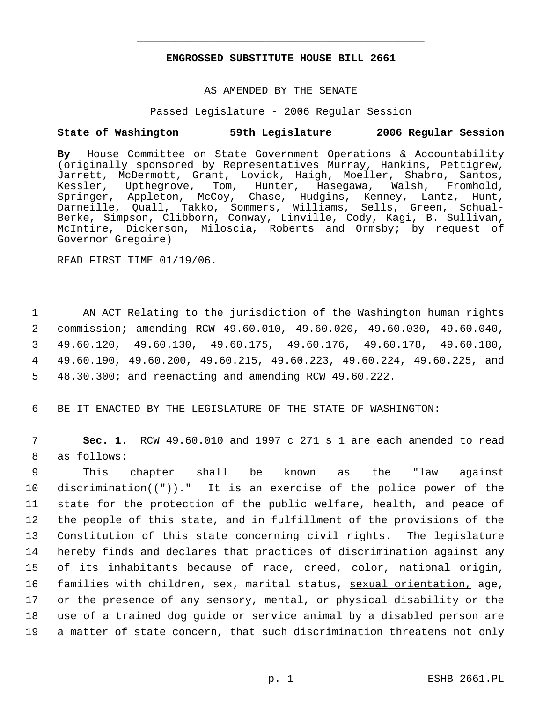# **ENGROSSED SUBSTITUTE HOUSE BILL 2661** \_\_\_\_\_\_\_\_\_\_\_\_\_\_\_\_\_\_\_\_\_\_\_\_\_\_\_\_\_\_\_\_\_\_\_\_\_\_\_\_\_\_\_\_\_

\_\_\_\_\_\_\_\_\_\_\_\_\_\_\_\_\_\_\_\_\_\_\_\_\_\_\_\_\_\_\_\_\_\_\_\_\_\_\_\_\_\_\_\_\_

#### AS AMENDED BY THE SENATE

Passed Legislature - 2006 Regular Session

## **State of Washington 59th Legislature 2006 Regular Session**

**By** House Committee on State Government Operations & Accountability (originally sponsored by Representatives Murray, Hankins, Pettigrew, Jarrett, McDermott, Grant, Lovick, Haigh, Moeller, Shabro, Santos, Kessler, Upthegrove, Tom, Hunter, Hasegawa, Walsh, Fromhold, Springer, Appleton, McCoy, Chase, Hudgins, Kenney, Lantz, Hunt, Darneille, Quall, Takko, Sommers, Williams, Sells, Green, Schual-Berke, Simpson, Clibborn, Conway, Linville, Cody, Kagi, B. Sullivan, McIntire, Dickerson, Miloscia, Roberts and Ormsby; by request of Governor Gregoire)

READ FIRST TIME 01/19/06.

 AN ACT Relating to the jurisdiction of the Washington human rights commission; amending RCW 49.60.010, 49.60.020, 49.60.030, 49.60.040, 49.60.120, 49.60.130, 49.60.175, 49.60.176, 49.60.178, 49.60.180, 49.60.190, 49.60.200, 49.60.215, 49.60.223, 49.60.224, 49.60.225, and 48.30.300; and reenacting and amending RCW 49.60.222.

6 BE IT ENACTED BY THE LEGISLATURE OF THE STATE OF WASHINGTON:

 7 **Sec. 1.** RCW 49.60.010 and 1997 c 271 s 1 are each amended to read 8 as follows:

 This chapter shall be known as the "law against 10 discrimination( $(\frac{\mu}{\epsilon})$ )." It is an exercise of the police power of the state for the protection of the public welfare, health, and peace of the people of this state, and in fulfillment of the provisions of the Constitution of this state concerning civil rights. The legislature hereby finds and declares that practices of discrimination against any of its inhabitants because of race, creed, color, national origin, 16 families with children, sex, marital status, sexual orientation, age, or the presence of any sensory, mental, or physical disability or the use of a trained dog guide or service animal by a disabled person are a matter of state concern, that such discrimination threatens not only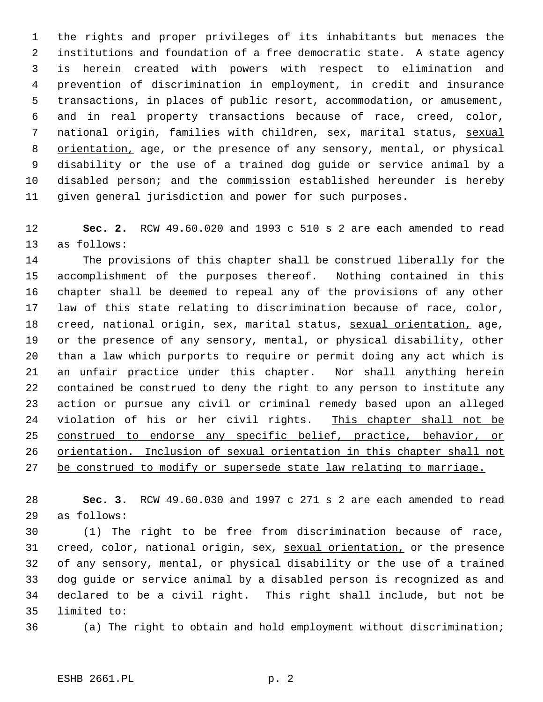the rights and proper privileges of its inhabitants but menaces the institutions and foundation of a free democratic state. A state agency is herein created with powers with respect to elimination and prevention of discrimination in employment, in credit and insurance transactions, in places of public resort, accommodation, or amusement, and in real property transactions because of race, creed, color, 7 national origin, families with children, sex, marital status, sexual 8 orientation, age, or the presence of any sensory, mental, or physical disability or the use of a trained dog guide or service animal by a disabled person; and the commission established hereunder is hereby given general jurisdiction and power for such purposes.

 **Sec. 2.** RCW 49.60.020 and 1993 c 510 s 2 are each amended to read as follows:

 The provisions of this chapter shall be construed liberally for the accomplishment of the purposes thereof. Nothing contained in this chapter shall be deemed to repeal any of the provisions of any other law of this state relating to discrimination because of race, color, 18 creed, national origin, sex, marital status, sexual orientation, age, or the presence of any sensory, mental, or physical disability, other than a law which purports to require or permit doing any act which is an unfair practice under this chapter. Nor shall anything herein contained be construed to deny the right to any person to institute any action or pursue any civil or criminal remedy based upon an alleged 24 violation of his or her civil rights. This chapter shall not be 25 construed to endorse any specific belief, practice, behavior, or orientation. Inclusion of sexual orientation in this chapter shall not 27 be construed to modify or supersede state law relating to marriage.

 **Sec. 3.** RCW 49.60.030 and 1997 c 271 s 2 are each amended to read as follows:

 (1) The right to be free from discrimination because of race, 31 creed, color, national origin, sex, sexual orientation, or the presence of any sensory, mental, or physical disability or the use of a trained dog guide or service animal by a disabled person is recognized as and declared to be a civil right. This right shall include, but not be limited to:

(a) The right to obtain and hold employment without discrimination;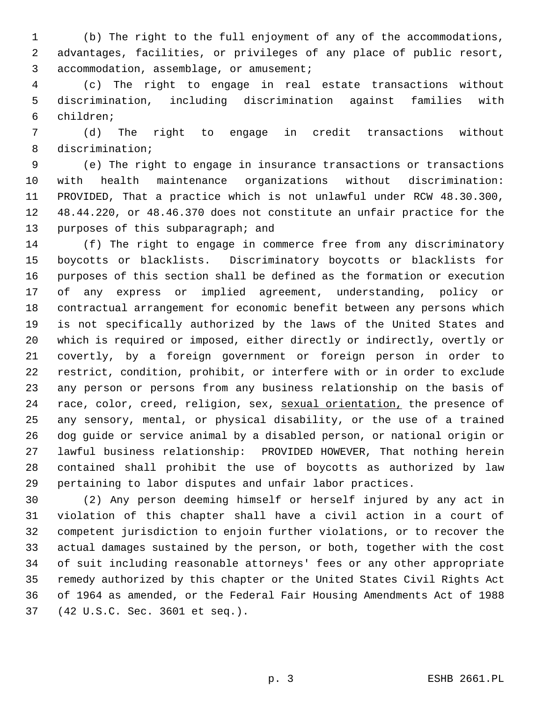(b) The right to the full enjoyment of any of the accommodations, advantages, facilities, or privileges of any place of public resort, accommodation, assemblage, or amusement;

 (c) The right to engage in real estate transactions without discrimination, including discrimination against families with children;

 (d) The right to engage in credit transactions without discrimination;

 (e) The right to engage in insurance transactions or transactions with health maintenance organizations without discrimination: PROVIDED, That a practice which is not unlawful under RCW 48.30.300, 48.44.220, or 48.46.370 does not constitute an unfair practice for the purposes of this subparagraph; and

 (f) The right to engage in commerce free from any discriminatory boycotts or blacklists. Discriminatory boycotts or blacklists for purposes of this section shall be defined as the formation or execution of any express or implied agreement, understanding, policy or contractual arrangement for economic benefit between any persons which is not specifically authorized by the laws of the United States and which is required or imposed, either directly or indirectly, overtly or covertly, by a foreign government or foreign person in order to restrict, condition, prohibit, or interfere with or in order to exclude any person or persons from any business relationship on the basis of 24 race, color, creed, religion, sex, sexual orientation, the presence of any sensory, mental, or physical disability, or the use of a trained dog guide or service animal by a disabled person, or national origin or lawful business relationship: PROVIDED HOWEVER, That nothing herein contained shall prohibit the use of boycotts as authorized by law pertaining to labor disputes and unfair labor practices.

 (2) Any person deeming himself or herself injured by any act in violation of this chapter shall have a civil action in a court of competent jurisdiction to enjoin further violations, or to recover the actual damages sustained by the person, or both, together with the cost of suit including reasonable attorneys' fees or any other appropriate remedy authorized by this chapter or the United States Civil Rights Act of 1964 as amended, or the Federal Fair Housing Amendments Act of 1988 (42 U.S.C. Sec. 3601 et seq.).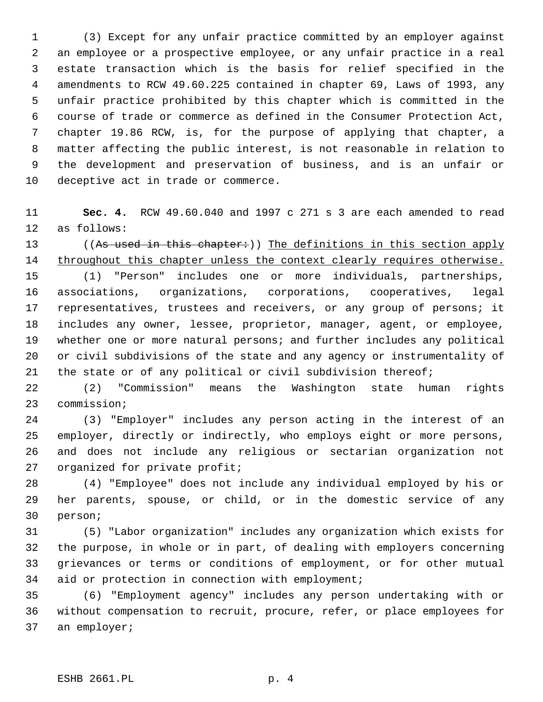(3) Except for any unfair practice committed by an employer against an employee or a prospective employee, or any unfair practice in a real estate transaction which is the basis for relief specified in the amendments to RCW 49.60.225 contained in chapter 69, Laws of 1993, any unfair practice prohibited by this chapter which is committed in the course of trade or commerce as defined in the Consumer Protection Act, chapter 19.86 RCW, is, for the purpose of applying that chapter, a matter affecting the public interest, is not reasonable in relation to the development and preservation of business, and is an unfair or deceptive act in trade or commerce.

 **Sec. 4.** RCW 49.60.040 and 1997 c 271 s 3 are each amended to read as follows:

13 ((As used in this chapter:)) The definitions in this section apply 14 throughout this chapter unless the context clearly requires otherwise.

 (1) "Person" includes one or more individuals, partnerships, associations, organizations, corporations, cooperatives, legal representatives, trustees and receivers, or any group of persons; it includes any owner, lessee, proprietor, manager, agent, or employee, whether one or more natural persons; and further includes any political or civil subdivisions of the state and any agency or instrumentality of the state or of any political or civil subdivision thereof;

 (2) "Commission" means the Washington state human rights commission;

 (3) "Employer" includes any person acting in the interest of an employer, directly or indirectly, who employs eight or more persons, and does not include any religious or sectarian organization not organized for private profit;

 (4) "Employee" does not include any individual employed by his or her parents, spouse, or child, or in the domestic service of any person;

 (5) "Labor organization" includes any organization which exists for the purpose, in whole or in part, of dealing with employers concerning grievances or terms or conditions of employment, or for other mutual aid or protection in connection with employment;

 (6) "Employment agency" includes any person undertaking with or without compensation to recruit, procure, refer, or place employees for an employer;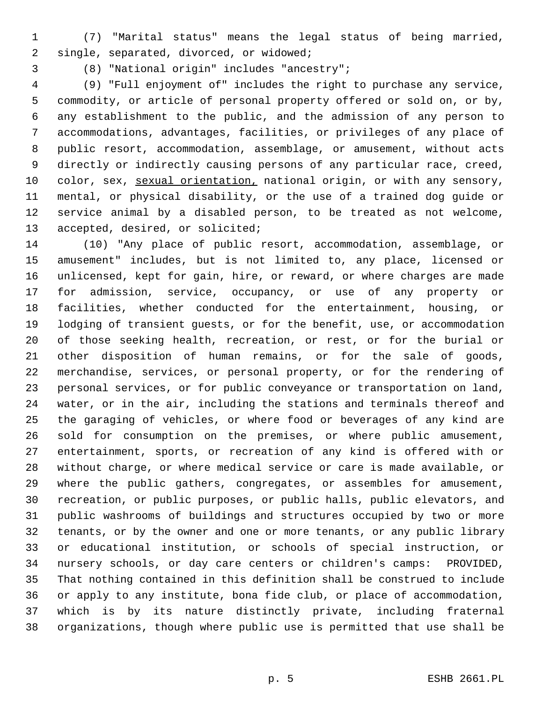- (7) "Marital status" means the legal status of being married, single, separated, divorced, or widowed;
- 

(8) "National origin" includes "ancestry";

 (9) "Full enjoyment of" includes the right to purchase any service, commodity, or article of personal property offered or sold on, or by, any establishment to the public, and the admission of any person to accommodations, advantages, facilities, or privileges of any place of public resort, accommodation, assemblage, or amusement, without acts directly or indirectly causing persons of any particular race, creed, 10 color, sex, sexual orientation, national origin, or with any sensory, mental, or physical disability, or the use of a trained dog guide or service animal by a disabled person, to be treated as not welcome, accepted, desired, or solicited;

 (10) "Any place of public resort, accommodation, assemblage, or amusement" includes, but is not limited to, any place, licensed or unlicensed, kept for gain, hire, or reward, or where charges are made for admission, service, occupancy, or use of any property or facilities, whether conducted for the entertainment, housing, or lodging of transient guests, or for the benefit, use, or accommodation of those seeking health, recreation, or rest, or for the burial or other disposition of human remains, or for the sale of goods, merchandise, services, or personal property, or for the rendering of personal services, or for public conveyance or transportation on land, water, or in the air, including the stations and terminals thereof and the garaging of vehicles, or where food or beverages of any kind are sold for consumption on the premises, or where public amusement, entertainment, sports, or recreation of any kind is offered with or without charge, or where medical service or care is made available, or where the public gathers, congregates, or assembles for amusement, recreation, or public purposes, or public halls, public elevators, and public washrooms of buildings and structures occupied by two or more tenants, or by the owner and one or more tenants, or any public library or educational institution, or schools of special instruction, or nursery schools, or day care centers or children's camps: PROVIDED, That nothing contained in this definition shall be construed to include or apply to any institute, bona fide club, or place of accommodation, which is by its nature distinctly private, including fraternal organizations, though where public use is permitted that use shall be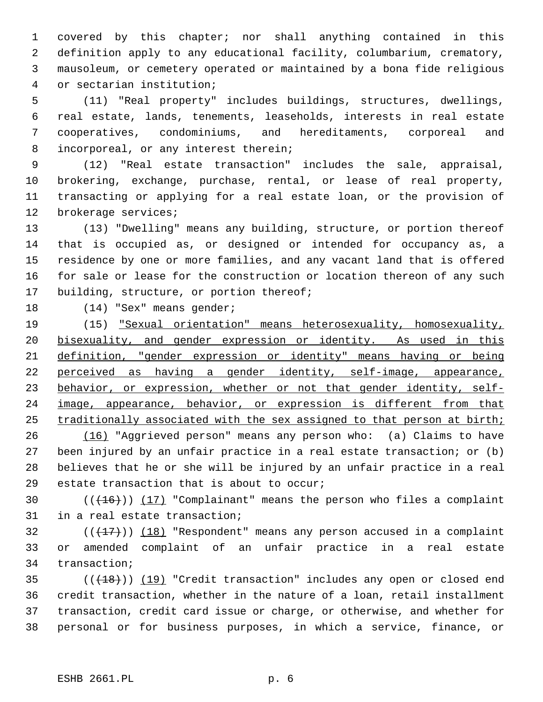covered by this chapter; nor shall anything contained in this definition apply to any educational facility, columbarium, crematory, mausoleum, or cemetery operated or maintained by a bona fide religious or sectarian institution;

 (11) "Real property" includes buildings, structures, dwellings, real estate, lands, tenements, leaseholds, interests in real estate cooperatives, condominiums, and hereditaments, corporeal and incorporeal, or any interest therein;

 (12) "Real estate transaction" includes the sale, appraisal, brokering, exchange, purchase, rental, or lease of real property, transacting or applying for a real estate loan, or the provision of brokerage services;

 (13) "Dwelling" means any building, structure, or portion thereof that is occupied as, or designed or intended for occupancy as, a residence by one or more families, and any vacant land that is offered for sale or lease for the construction or location thereon of any such 17 building, structure, or portion thereof;

18 (14) "Sex" means gender;

 (15) "Sexual orientation" means heterosexuality, homosexuality, 20 bisexuality, and gender expression or identity. As used in this definition, "gender expression or identity" means having or being perceived as having a gender identity, self-image, appearance, 23 behavior, or expression, whether or not that gender identity, self-24 image, appearance, behavior, or expression is different from that traditionally associated with the sex assigned to that person at birth;

 (16) "Aggrieved person" means any person who: (a) Claims to have been injured by an unfair practice in a real estate transaction; or (b) believes that he or she will be injured by an unfair practice in a real estate transaction that is about to occur;

30  $((+16))$   $(17)$  "Complainant" means the person who files a complaint in a real estate transaction;

32  $((+17))$   $(18)$  "Respondent" means any person accused in a complaint or amended complaint of an unfair practice in a real estate transaction;

35 (( $(18)$ )) (19) "Credit transaction" includes any open or closed end credit transaction, whether in the nature of a loan, retail installment transaction, credit card issue or charge, or otherwise, and whether for personal or for business purposes, in which a service, finance, or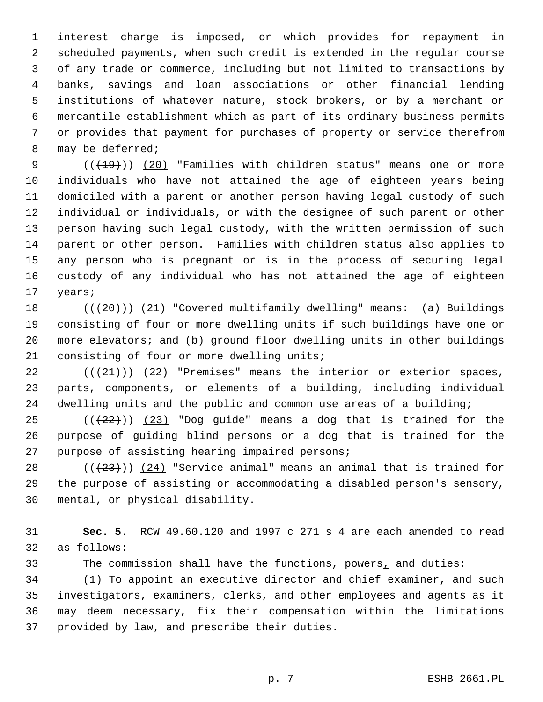interest charge is imposed, or which provides for repayment in scheduled payments, when such credit is extended in the regular course of any trade or commerce, including but not limited to transactions by banks, savings and loan associations or other financial lending institutions of whatever nature, stock brokers, or by a merchant or mercantile establishment which as part of its ordinary business permits or provides that payment for purchases of property or service therefrom may be deferred;

9 (( $\left(\frac{19}{19}\right)$ ) (20) "Families with children status" means one or more individuals who have not attained the age of eighteen years being domiciled with a parent or another person having legal custody of such individual or individuals, or with the designee of such parent or other person having such legal custody, with the written permission of such parent or other person. Families with children status also applies to any person who is pregnant or is in the process of securing legal custody of any individual who has not attained the age of eighteen years;

18 (( $(20)$ )) (21) "Covered multifamily dwelling" means: (a) Buildings consisting of four or more dwelling units if such buildings have one or more elevators; and (b) ground floor dwelling units in other buildings consisting of four or more dwelling units;

22  $((+21))$   $(22)$  "Premises" means the interior or exterior spaces, parts, components, or elements of a building, including individual dwelling units and the public and common use areas of a building;

 $((22))$  (23) "Dog quide" means a dog that is trained for the purpose of guiding blind persons or a dog that is trained for the purpose of assisting hearing impaired persons;

28  $((+23))$   $(24)$  "Service animal" means an animal that is trained for the purpose of assisting or accommodating a disabled person's sensory, mental, or physical disability.

 **Sec. 5.** RCW 49.60.120 and 1997 c 271 s 4 are each amended to read as follows:

The commission shall have the functions, powers, and duties:

 (1) To appoint an executive director and chief examiner, and such investigators, examiners, clerks, and other employees and agents as it may deem necessary, fix their compensation within the limitations provided by law, and prescribe their duties.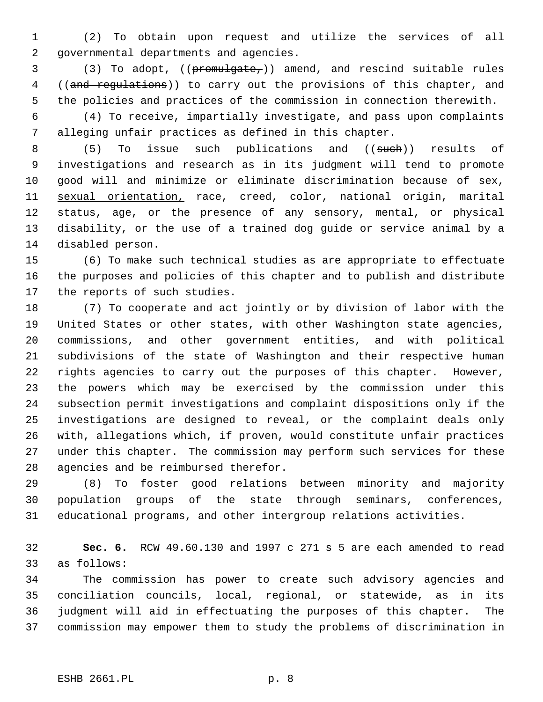(2) To obtain upon request and utilize the services of all governmental departments and agencies.

 (3) To adopt, ((promulgate,)) amend, and rescind suitable rules 4 ((and regulations)) to carry out the provisions of this chapter, and the policies and practices of the commission in connection therewith.

 (4) To receive, impartially investigate, and pass upon complaints alleging unfair practices as defined in this chapter.

8 (5) To issue such publications and ((such)) results of investigations and research as in its judgment will tend to promote good will and minimize or eliminate discrimination because of sex, sexual orientation, race, creed, color, national origin, marital status, age, or the presence of any sensory, mental, or physical disability, or the use of a trained dog guide or service animal by a disabled person.

 (6) To make such technical studies as are appropriate to effectuate the purposes and policies of this chapter and to publish and distribute the reports of such studies.

 (7) To cooperate and act jointly or by division of labor with the United States or other states, with other Washington state agencies, commissions, and other government entities, and with political subdivisions of the state of Washington and their respective human rights agencies to carry out the purposes of this chapter. However, the powers which may be exercised by the commission under this subsection permit investigations and complaint dispositions only if the investigations are designed to reveal, or the complaint deals only with, allegations which, if proven, would constitute unfair practices under this chapter. The commission may perform such services for these agencies and be reimbursed therefor.

 (8) To foster good relations between minority and majority population groups of the state through seminars, conferences, educational programs, and other intergroup relations activities.

 **Sec. 6.** RCW 49.60.130 and 1997 c 271 s 5 are each amended to read as follows:

 The commission has power to create such advisory agencies and conciliation councils, local, regional, or statewide, as in its judgment will aid in effectuating the purposes of this chapter. The commission may empower them to study the problems of discrimination in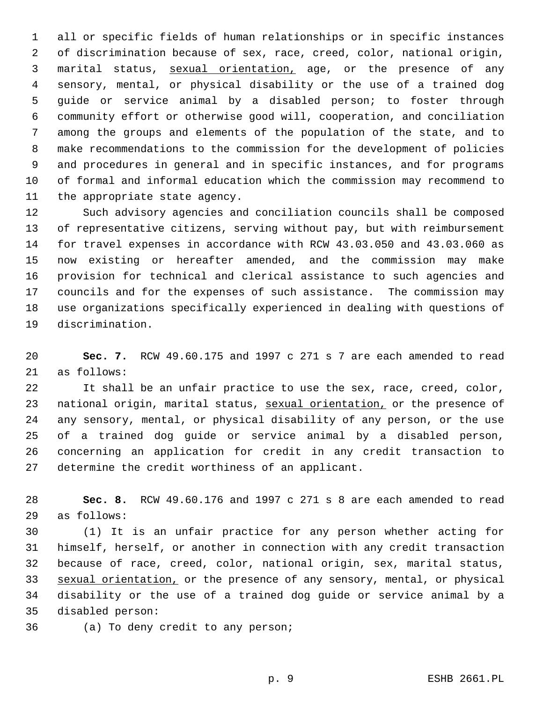all or specific fields of human relationships or in specific instances of discrimination because of sex, race, creed, color, national origin, 3 marital status, sexual orientation, age, or the presence of any sensory, mental, or physical disability or the use of a trained dog guide or service animal by a disabled person; to foster through community effort or otherwise good will, cooperation, and conciliation among the groups and elements of the population of the state, and to make recommendations to the commission for the development of policies and procedures in general and in specific instances, and for programs of formal and informal education which the commission may recommend to the appropriate state agency.

 Such advisory agencies and conciliation councils shall be composed of representative citizens, serving without pay, but with reimbursement for travel expenses in accordance with RCW 43.03.050 and 43.03.060 as now existing or hereafter amended, and the commission may make provision for technical and clerical assistance to such agencies and councils and for the expenses of such assistance. The commission may use organizations specifically experienced in dealing with questions of discrimination.

 **Sec. 7.** RCW 49.60.175 and 1997 c 271 s 7 are each amended to read as follows:

 It shall be an unfair practice to use the sex, race, creed, color, 23 national origin, marital status, sexual orientation, or the presence of any sensory, mental, or physical disability of any person, or the use of a trained dog guide or service animal by a disabled person, concerning an application for credit in any credit transaction to determine the credit worthiness of an applicant.

 **Sec. 8.** RCW 49.60.176 and 1997 c 271 s 8 are each amended to read as follows:

 (1) It is an unfair practice for any person whether acting for himself, herself, or another in connection with any credit transaction because of race, creed, color, national origin, sex, marital status, 33 sexual orientation, or the presence of any sensory, mental, or physical disability or the use of a trained dog guide or service animal by a disabled person:

(a) To deny credit to any person;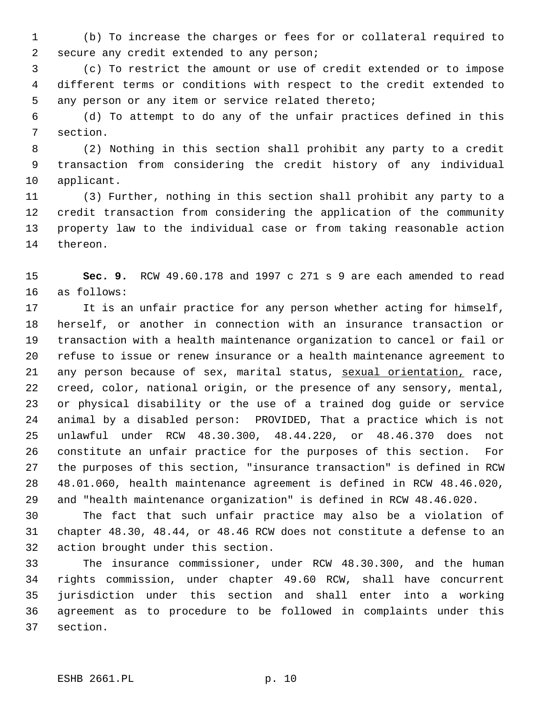(b) To increase the charges or fees for or collateral required to secure any credit extended to any person;

 (c) To restrict the amount or use of credit extended or to impose different terms or conditions with respect to the credit extended to any person or any item or service related thereto;

 (d) To attempt to do any of the unfair practices defined in this section.

 (2) Nothing in this section shall prohibit any party to a credit transaction from considering the credit history of any individual applicant.

 (3) Further, nothing in this section shall prohibit any party to a credit transaction from considering the application of the community property law to the individual case or from taking reasonable action thereon.

 **Sec. 9.** RCW 49.60.178 and 1997 c 271 s 9 are each amended to read as follows:

 It is an unfair practice for any person whether acting for himself, herself, or another in connection with an insurance transaction or transaction with a health maintenance organization to cancel or fail or refuse to issue or renew insurance or a health maintenance agreement to 21 any person because of sex, marital status, sexual orientation, race, creed, color, national origin, or the presence of any sensory, mental, or physical disability or the use of a trained dog guide or service animal by a disabled person: PROVIDED, That a practice which is not unlawful under RCW 48.30.300, 48.44.220, or 48.46.370 does not constitute an unfair practice for the purposes of this section. For the purposes of this section, "insurance transaction" is defined in RCW 48.01.060, health maintenance agreement is defined in RCW 48.46.020, and "health maintenance organization" is defined in RCW 48.46.020.

 The fact that such unfair practice may also be a violation of chapter 48.30, 48.44, or 48.46 RCW does not constitute a defense to an action brought under this section.

 The insurance commissioner, under RCW 48.30.300, and the human rights commission, under chapter 49.60 RCW, shall have concurrent jurisdiction under this section and shall enter into a working agreement as to procedure to be followed in complaints under this section.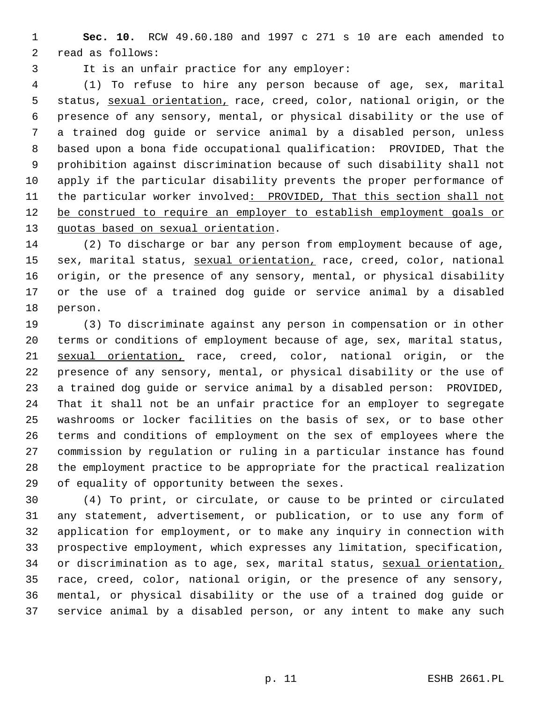**Sec. 10.** RCW 49.60.180 and 1997 c 271 s 10 are each amended to read as follows:

It is an unfair practice for any employer:

 (1) To refuse to hire any person because of age, sex, marital 5 status, sexual orientation, race, creed, color, national origin, or the presence of any sensory, mental, or physical disability or the use of a trained dog guide or service animal by a disabled person, unless based upon a bona fide occupational qualification: PROVIDED, That the prohibition against discrimination because of such disability shall not apply if the particular disability prevents the proper performance of 11 the particular worker involved: PROVIDED, That this section shall not 12 be construed to require an employer to establish employment goals or 13 quotas based on sexual orientation.

 (2) To discharge or bar any person from employment because of age, 15 sex, marital status, sexual orientation, race, creed, color, national origin, or the presence of any sensory, mental, or physical disability or the use of a trained dog guide or service animal by a disabled person.

 (3) To discriminate against any person in compensation or in other terms or conditions of employment because of age, sex, marital status, sexual orientation, race, creed, color, national origin, or the presence of any sensory, mental, or physical disability or the use of a trained dog guide or service animal by a disabled person: PROVIDED, That it shall not be an unfair practice for an employer to segregate washrooms or locker facilities on the basis of sex, or to base other terms and conditions of employment on the sex of employees where the commission by regulation or ruling in a particular instance has found the employment practice to be appropriate for the practical realization of equality of opportunity between the sexes.

 (4) To print, or circulate, or cause to be printed or circulated any statement, advertisement, or publication, or to use any form of application for employment, or to make any inquiry in connection with prospective employment, which expresses any limitation, specification, 34 or discrimination as to age, sex, marital status, sexual orientation, race, creed, color, national origin, or the presence of any sensory, mental, or physical disability or the use of a trained dog guide or service animal by a disabled person, or any intent to make any such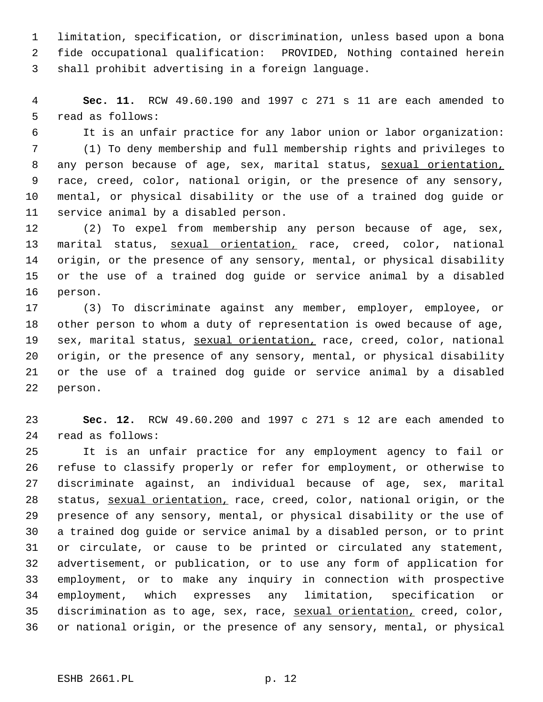limitation, specification, or discrimination, unless based upon a bona fide occupational qualification: PROVIDED, Nothing contained herein shall prohibit advertising in a foreign language.

 **Sec. 11.** RCW 49.60.190 and 1997 c 271 s 11 are each amended to read as follows:

 It is an unfair practice for any labor union or labor organization: (1) To deny membership and full membership rights and privileges to 8 any person because of age, sex, marital status, sexual orientation, race, creed, color, national origin, or the presence of any sensory, mental, or physical disability or the use of a trained dog guide or service animal by a disabled person.

 (2) To expel from membership any person because of age, sex, marital status, sexual orientation, race, creed, color, national origin, or the presence of any sensory, mental, or physical disability or the use of a trained dog guide or service animal by a disabled person.

 (3) To discriminate against any member, employer, employee, or other person to whom a duty of representation is owed because of age, 19 sex, marital status, sexual orientation, race, creed, color, national origin, or the presence of any sensory, mental, or physical disability or the use of a trained dog guide or service animal by a disabled person.

 **Sec. 12.** RCW 49.60.200 and 1997 c 271 s 12 are each amended to read as follows:

 It is an unfair practice for any employment agency to fail or refuse to classify properly or refer for employment, or otherwise to discriminate against, an individual because of age, sex, marital 28 status, sexual orientation, race, creed, color, national origin, or the presence of any sensory, mental, or physical disability or the use of a trained dog guide or service animal by a disabled person, or to print or circulate, or cause to be printed or circulated any statement, advertisement, or publication, or to use any form of application for employment, or to make any inquiry in connection with prospective employment, which expresses any limitation, specification or discrimination as to age, sex, race, sexual orientation, creed, color, or national origin, or the presence of any sensory, mental, or physical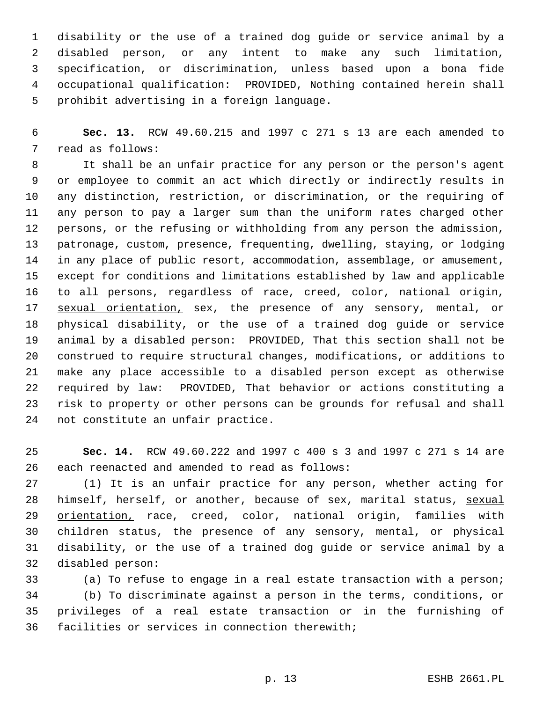disability or the use of a trained dog guide or service animal by a disabled person, or any intent to make any such limitation, specification, or discrimination, unless based upon a bona fide occupational qualification: PROVIDED, Nothing contained herein shall prohibit advertising in a foreign language.

 **Sec. 13.** RCW 49.60.215 and 1997 c 271 s 13 are each amended to read as follows:

 It shall be an unfair practice for any person or the person's agent or employee to commit an act which directly or indirectly results in any distinction, restriction, or discrimination, or the requiring of any person to pay a larger sum than the uniform rates charged other persons, or the refusing or withholding from any person the admission, patronage, custom, presence, frequenting, dwelling, staying, or lodging in any place of public resort, accommodation, assemblage, or amusement, except for conditions and limitations established by law and applicable to all persons, regardless of race, creed, color, national origin, 17 sexual orientation, sex, the presence of any sensory, mental, or physical disability, or the use of a trained dog guide or service animal by a disabled person: PROVIDED, That this section shall not be construed to require structural changes, modifications, or additions to make any place accessible to a disabled person except as otherwise required by law: PROVIDED, That behavior or actions constituting a risk to property or other persons can be grounds for refusal and shall not constitute an unfair practice.

 **Sec. 14.** RCW 49.60.222 and 1997 c 400 s 3 and 1997 c 271 s 14 are each reenacted and amended to read as follows:

 (1) It is an unfair practice for any person, whether acting for 28 himself, herself, or another, because of sex, marital status, sexual 29 orientation, race, creed, color, national origin, families with children status, the presence of any sensory, mental, or physical disability, or the use of a trained dog guide or service animal by a disabled person:

 (a) To refuse to engage in a real estate transaction with a person; (b) To discriminate against a person in the terms, conditions, or privileges of a real estate transaction or in the furnishing of facilities or services in connection therewith;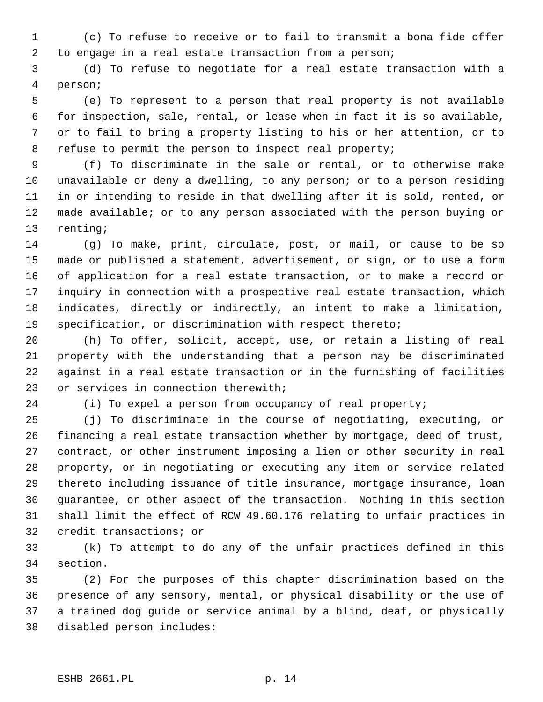(c) To refuse to receive or to fail to transmit a bona fide offer to engage in a real estate transaction from a person;

 (d) To refuse to negotiate for a real estate transaction with a person;

 (e) To represent to a person that real property is not available for inspection, sale, rental, or lease when in fact it is so available, or to fail to bring a property listing to his or her attention, or to refuse to permit the person to inspect real property;

 (f) To discriminate in the sale or rental, or to otherwise make unavailable or deny a dwelling, to any person; or to a person residing in or intending to reside in that dwelling after it is sold, rented, or made available; or to any person associated with the person buying or renting;

 (g) To make, print, circulate, post, or mail, or cause to be so made or published a statement, advertisement, or sign, or to use a form of application for a real estate transaction, or to make a record or inquiry in connection with a prospective real estate transaction, which indicates, directly or indirectly, an intent to make a limitation, specification, or discrimination with respect thereto;

 (h) To offer, solicit, accept, use, or retain a listing of real property with the understanding that a person may be discriminated against in a real estate transaction or in the furnishing of facilities or services in connection therewith;

(i) To expel a person from occupancy of real property;

 (j) To discriminate in the course of negotiating, executing, or financing a real estate transaction whether by mortgage, deed of trust, contract, or other instrument imposing a lien or other security in real property, or in negotiating or executing any item or service related thereto including issuance of title insurance, mortgage insurance, loan guarantee, or other aspect of the transaction. Nothing in this section shall limit the effect of RCW 49.60.176 relating to unfair practices in credit transactions; or

 (k) To attempt to do any of the unfair practices defined in this section.

 (2) For the purposes of this chapter discrimination based on the presence of any sensory, mental, or physical disability or the use of a trained dog guide or service animal by a blind, deaf, or physically disabled person includes: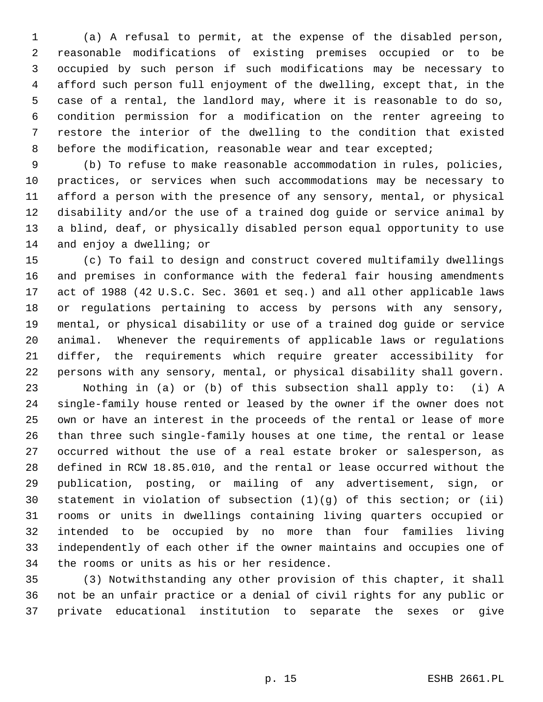(a) A refusal to permit, at the expense of the disabled person, reasonable modifications of existing premises occupied or to be occupied by such person if such modifications may be necessary to afford such person full enjoyment of the dwelling, except that, in the case of a rental, the landlord may, where it is reasonable to do so, condition permission for a modification on the renter agreeing to restore the interior of the dwelling to the condition that existed 8 before the modification, reasonable wear and tear excepted;

 (b) To refuse to make reasonable accommodation in rules, policies, practices, or services when such accommodations may be necessary to afford a person with the presence of any sensory, mental, or physical disability and/or the use of a trained dog guide or service animal by a blind, deaf, or physically disabled person equal opportunity to use 14 and enjoy a dwelling; or

 (c) To fail to design and construct covered multifamily dwellings and premises in conformance with the federal fair housing amendments act of 1988 (42 U.S.C. Sec. 3601 et seq.) and all other applicable laws or regulations pertaining to access by persons with any sensory, mental, or physical disability or use of a trained dog guide or service animal. Whenever the requirements of applicable laws or regulations differ, the requirements which require greater accessibility for persons with any sensory, mental, or physical disability shall govern.

 Nothing in (a) or (b) of this subsection shall apply to: (i) A single-family house rented or leased by the owner if the owner does not own or have an interest in the proceeds of the rental or lease of more than three such single-family houses at one time, the rental or lease occurred without the use of a real estate broker or salesperson, as defined in RCW 18.85.010, and the rental or lease occurred without the publication, posting, or mailing of any advertisement, sign, or statement in violation of subsection (1)(g) of this section; or (ii) rooms or units in dwellings containing living quarters occupied or intended to be occupied by no more than four families living independently of each other if the owner maintains and occupies one of the rooms or units as his or her residence.

 (3) Notwithstanding any other provision of this chapter, it shall not be an unfair practice or a denial of civil rights for any public or private educational institution to separate the sexes or give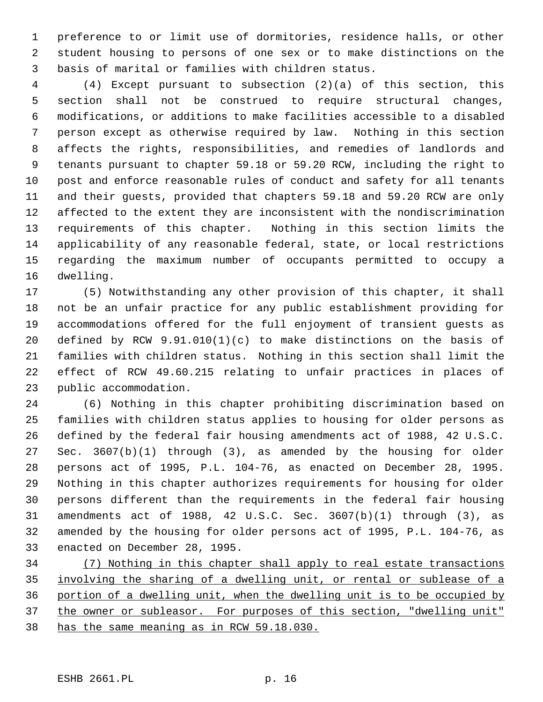preference to or limit use of dormitories, residence halls, or other student housing to persons of one sex or to make distinctions on the basis of marital or families with children status.

 (4) Except pursuant to subsection (2)(a) of this section, this section shall not be construed to require structural changes, modifications, or additions to make facilities accessible to a disabled person except as otherwise required by law. Nothing in this section affects the rights, responsibilities, and remedies of landlords and tenants pursuant to chapter 59.18 or 59.20 RCW, including the right to post and enforce reasonable rules of conduct and safety for all tenants and their guests, provided that chapters 59.18 and 59.20 RCW are only affected to the extent they are inconsistent with the nondiscrimination requirements of this chapter. Nothing in this section limits the applicability of any reasonable federal, state, or local restrictions regarding the maximum number of occupants permitted to occupy a dwelling.

 (5) Notwithstanding any other provision of this chapter, it shall not be an unfair practice for any public establishment providing for accommodations offered for the full enjoyment of transient guests as defined by RCW 9.91.010(1)(c) to make distinctions on the basis of families with children status. Nothing in this section shall limit the effect of RCW 49.60.215 relating to unfair practices in places of public accommodation.

 (6) Nothing in this chapter prohibiting discrimination based on families with children status applies to housing for older persons as defined by the federal fair housing amendments act of 1988, 42 U.S.C. Sec. 3607(b)(1) through (3), as amended by the housing for older persons act of 1995, P.L. 104-76, as enacted on December 28, 1995. Nothing in this chapter authorizes requirements for housing for older persons different than the requirements in the federal fair housing amendments act of 1988, 42 U.S.C. Sec. 3607(b)(1) through (3), as amended by the housing for older persons act of 1995, P.L. 104-76, as enacted on December 28, 1995.

 (7) Nothing in this chapter shall apply to real estate transactions involving the sharing of a dwelling unit, or rental or sublease of a portion of a dwelling unit, when the dwelling unit is to be occupied by 37 the owner or subleasor. For purposes of this section, "dwelling unit" has the same meaning as in RCW 59.18.030.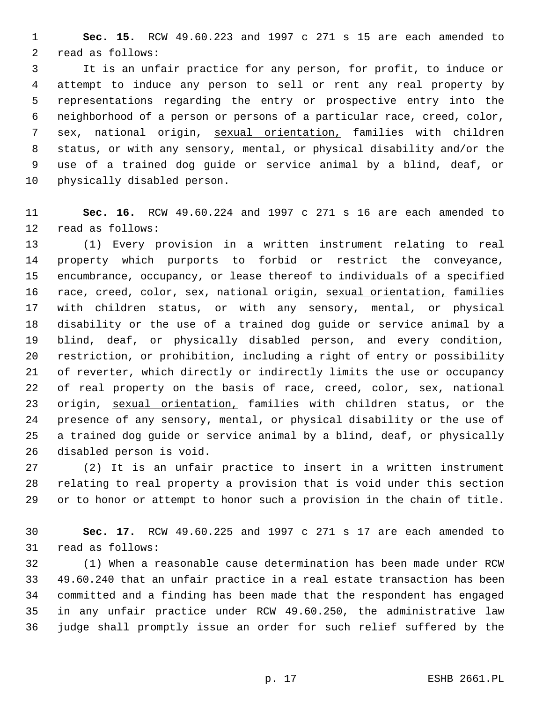**Sec. 15.** RCW 49.60.223 and 1997 c 271 s 15 are each amended to read as follows:

 It is an unfair practice for any person, for profit, to induce or attempt to induce any person to sell or rent any real property by representations regarding the entry or prospective entry into the neighborhood of a person or persons of a particular race, creed, color, sex, national origin, sexual orientation, families with children status, or with any sensory, mental, or physical disability and/or the use of a trained dog guide or service animal by a blind, deaf, or physically disabled person.

 **Sec. 16.** RCW 49.60.224 and 1997 c 271 s 16 are each amended to read as follows:

 (1) Every provision in a written instrument relating to real property which purports to forbid or restrict the conveyance, encumbrance, occupancy, or lease thereof to individuals of a specified 16 race, creed, color, sex, national origin, sexual orientation, families with children status, or with any sensory, mental, or physical disability or the use of a trained dog guide or service animal by a blind, deaf, or physically disabled person, and every condition, restriction, or prohibition, including a right of entry or possibility of reverter, which directly or indirectly limits the use or occupancy of real property on the basis of race, creed, color, sex, national 23 origin, sexual orientation, families with children status, or the presence of any sensory, mental, or physical disability or the use of a trained dog guide or service animal by a blind, deaf, or physically disabled person is void.

 (2) It is an unfair practice to insert in a written instrument relating to real property a provision that is void under this section or to honor or attempt to honor such a provision in the chain of title.

 **Sec. 17.** RCW 49.60.225 and 1997 c 271 s 17 are each amended to read as follows:

 (1) When a reasonable cause determination has been made under RCW 49.60.240 that an unfair practice in a real estate transaction has been committed and a finding has been made that the respondent has engaged in any unfair practice under RCW 49.60.250, the administrative law judge shall promptly issue an order for such relief suffered by the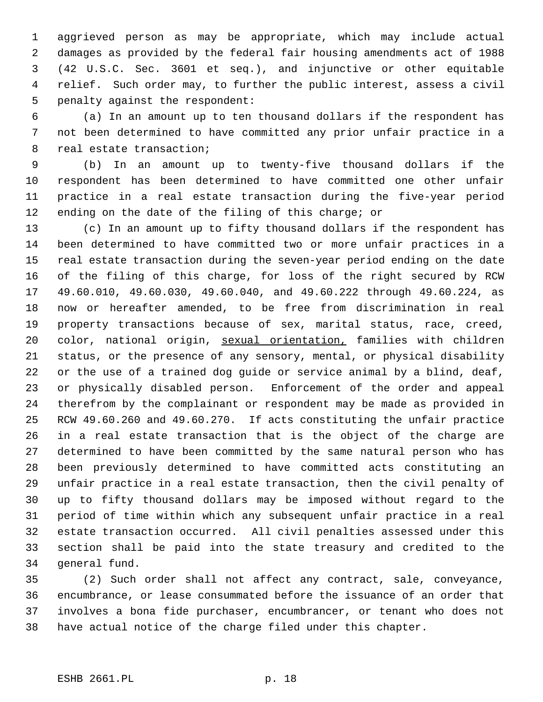aggrieved person as may be appropriate, which may include actual damages as provided by the federal fair housing amendments act of 1988 (42 U.S.C. Sec. 3601 et seq.), and injunctive or other equitable relief. Such order may, to further the public interest, assess a civil penalty against the respondent:

 (a) In an amount up to ten thousand dollars if the respondent has not been determined to have committed any prior unfair practice in a real estate transaction;

 (b) In an amount up to twenty-five thousand dollars if the respondent has been determined to have committed one other unfair practice in a real estate transaction during the five-year period ending on the date of the filing of this charge; or

 (c) In an amount up to fifty thousand dollars if the respondent has been determined to have committed two or more unfair practices in a real estate transaction during the seven-year period ending on the date of the filing of this charge, for loss of the right secured by RCW 49.60.010, 49.60.030, 49.60.040, and 49.60.222 through 49.60.224, as now or hereafter amended, to be free from discrimination in real property transactions because of sex, marital status, race, creed, 20 color, national origin, sexual orientation, families with children status, or the presence of any sensory, mental, or physical disability or the use of a trained dog guide or service animal by a blind, deaf, or physically disabled person. Enforcement of the order and appeal therefrom by the complainant or respondent may be made as provided in RCW 49.60.260 and 49.60.270. If acts constituting the unfair practice in a real estate transaction that is the object of the charge are determined to have been committed by the same natural person who has been previously determined to have committed acts constituting an unfair practice in a real estate transaction, then the civil penalty of up to fifty thousand dollars may be imposed without regard to the period of time within which any subsequent unfair practice in a real estate transaction occurred. All civil penalties assessed under this section shall be paid into the state treasury and credited to the general fund.

 (2) Such order shall not affect any contract, sale, conveyance, encumbrance, or lease consummated before the issuance of an order that involves a bona fide purchaser, encumbrancer, or tenant who does not have actual notice of the charge filed under this chapter.